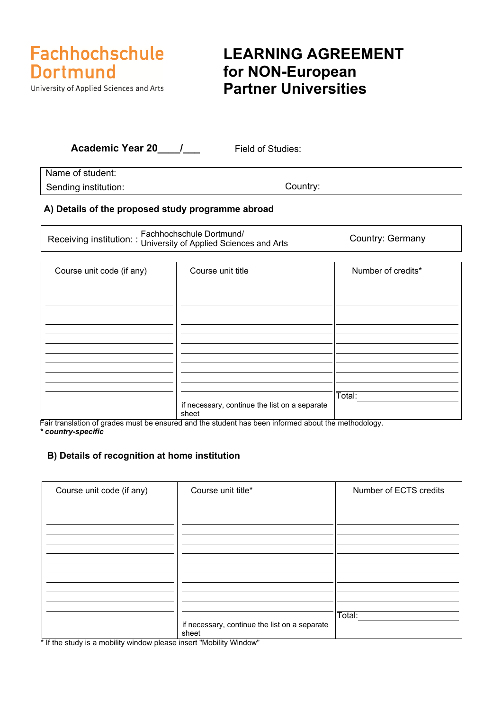

University of Applied Sciences and Arts

### **LEARNING AGREEMENT for NON-European Partner Universities**

| <b>Academic Year 20</b> | Field of Studies: |  |
|-------------------------|-------------------|--|
| Name of student:        |                   |  |
| Sending institution:    | Country:          |  |

### **A) Details of the proposed study programme abroad**

Receiving institution: : Fachhochschule Dortmund/<br>Receiving institution: : University of Applied Sciences and Arts Country: Germany

| Course unit code (if any) | Course unit title                                      | Number of credits* |
|---------------------------|--------------------------------------------------------|--------------------|
|                           |                                                        |                    |
|                           |                                                        |                    |
|                           |                                                        |                    |
|                           |                                                        |                    |
|                           |                                                        |                    |
|                           |                                                        |                    |
|                           |                                                        |                    |
|                           |                                                        |                    |
|                           | if necessary, continue the list on a separate<br>sheet | Total:             |

Fair translation of grades must be ensured and the student has been informed about the methodology. *\* country-specific* 

### **B) Details of recognition at home institution**

| Course unit code (if any)                                                              | Course unit title*                                     | Number of ECTS credits |
|----------------------------------------------------------------------------------------|--------------------------------------------------------|------------------------|
|                                                                                        |                                                        |                        |
|                                                                                        |                                                        |                        |
|                                                                                        |                                                        |                        |
|                                                                                        |                                                        |                        |
|                                                                                        |                                                        |                        |
|                                                                                        |                                                        |                        |
|                                                                                        |                                                        |                        |
|                                                                                        |                                                        |                        |
|                                                                                        |                                                        | Total:                 |
|                                                                                        | if necessary, continue the list on a separate<br>sheet |                        |
| $\star$ If the other is a modellite supplement places income IB (obility ) ) (indexed) |                                                        |                        |

If the study is a mobility window please insert "Mobility Window"